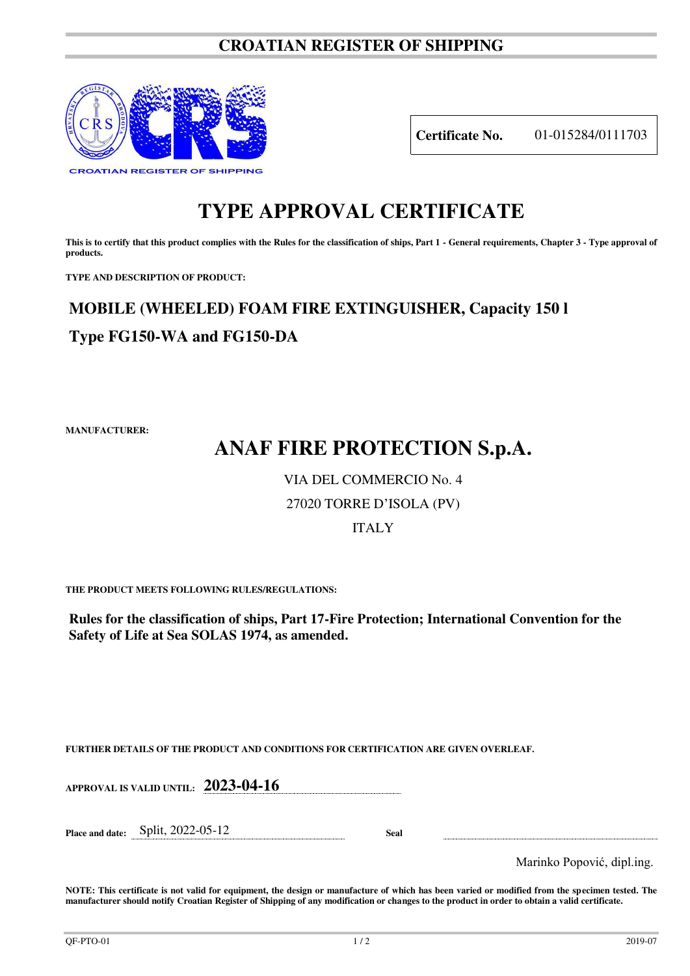### **CROATIAN REGISTER OF SHIPPING**



**Certificate No.** 01-015284/0111703

### **TYPE APPROVAL CERTIFICATE**

This is to certify that this product complies with the Rules for the classification of ships, Part 1 - General requirements, Chapter 3 - Type approval of **products.** 

**TYPE AND DESCRIPTION OF PRODUCT:** 

## **MOBILE (WHEELED) FOAM FIRE EXTINGUISHER, Capacity 150 l Type FG150-WA and FG150-DA**

**MANUFACTURER:**

# **ANAF FIRE PROTECTION S.p.A.**

#### VIA DEL COMMERCIO No. 4

#### 27020 TORRE D'ISOLA (PV)

#### ITALY

**THE PRODUCT MEETS FOLLOWING RULES/REGULATIONS:**

**Rules for the classification of ships, Part 17-Fire Protection; International Convention for the Safety of Life at Sea SOLAS 1974, as amended.**

**FURTHER DETAILS OF THE PRODUCT AND CONDITIONS FOR CERTIFICATION ARE GIVEN OVERLEAF.**

**APPROVAL IS VALID UNTIL: 2023-04-16**

**Place and date:** Split, 2022-05-12 **Seal** 

Marinko Popović, dipl.ing.

**NOTE: This certificate is not valid for equipment, the design or manufacture of which has been varied or modified from the specimen tested. The manufacturer should notify Croatian Register of Shipping of any modification or changes to the product in order to obtain a valid certificate.**